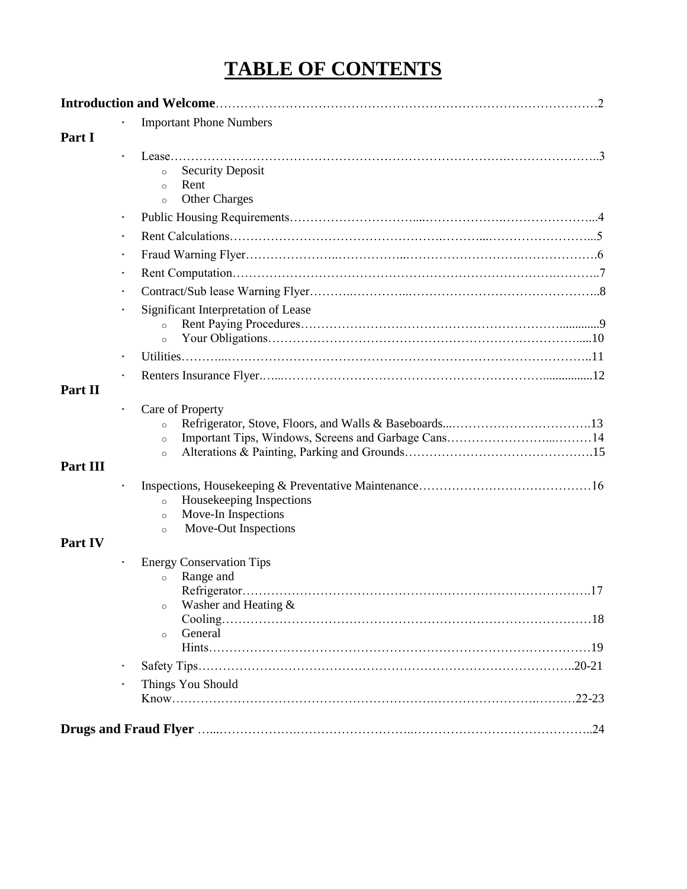# **TABLE OF CONTENTS**

|          |           | <b>Important Phone Numbers</b>                                                                           |
|----------|-----------|----------------------------------------------------------------------------------------------------------|
| Part I   |           |                                                                                                          |
|          |           | <b>Security Deposit</b><br>$\circ$<br>Rent<br>$\circ$<br><b>Other Charges</b><br>$\circ$                 |
|          | $\bullet$ |                                                                                                          |
|          | $\bullet$ |                                                                                                          |
|          | $\bullet$ |                                                                                                          |
|          | $\bullet$ |                                                                                                          |
|          |           |                                                                                                          |
|          |           | Significant Interpretation of Lease<br>$\circ$<br>$\circ$                                                |
|          | $\bullet$ |                                                                                                          |
| Part II  |           |                                                                                                          |
| Part III |           | Care of Property<br>$\circ$<br>$\circ$<br>$\circ$                                                        |
|          |           | Housekeeping Inspections<br>$\circ$<br>Move-In Inspections<br>$\circ$<br>Move-Out Inspections<br>$\circ$ |
| Part IV  |           |                                                                                                          |
|          |           | <b>Energy Conservation Tips</b><br>Range and<br>$\circ$<br>Washer and Heating &<br>$\circ$               |
|          |           | General<br>$\circ$                                                                                       |
|          | $\bullet$ |                                                                                                          |
|          |           | Things You Should                                                                                        |
|          |           |                                                                                                          |
|          |           |                                                                                                          |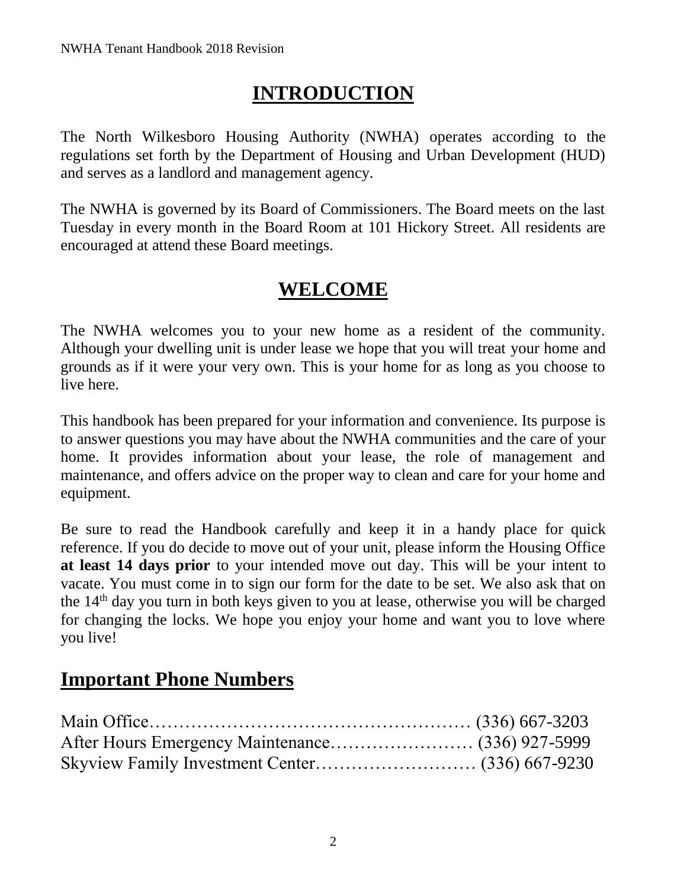# **INTRODUCTION**

The North Wilkesboro Housing Authority (NWHA) operates according to the regulations set forth by the Department of Housing and Urban Development (HUD) and serves as a landlord and management agency.

The NWHA is governed by its Board of Commissioners. The Board meets on the last Tuesday in every month in the Board Room at 101 Hickory Street. All residents are encouraged at attend these Board meetings.

# **WELCOME**

The NWHA welcomes you to your new home as a resident of the community. Although your dwelling unit is under lease we hope that you will treat your home and grounds as if it were your very own. This is your home for as long as you choose to live here.

This handbook has been prepared for your information and convenience. Its purpose is to answer questions you may have about the NWHA communities and the care of your home. It provides information about your lease, the role of management and maintenance, and offers advice on the proper way to clean and care for your home and equipment.

Be sure to read the Handbook carefully and keep it in a handy place for quick reference. If you do decide to move out of your unit, please inform the Housing Office **at least 14 days prior** to your intended move out day. This will be your intent to vacate. You must come in to sign our form for the date to be set. We also ask that on the 14th day you turn in both keys given to you at lease, otherwise you will be charged for changing the locks. We hope you enjoy your home and want you to love where you live!

# **Important Phone Numbers**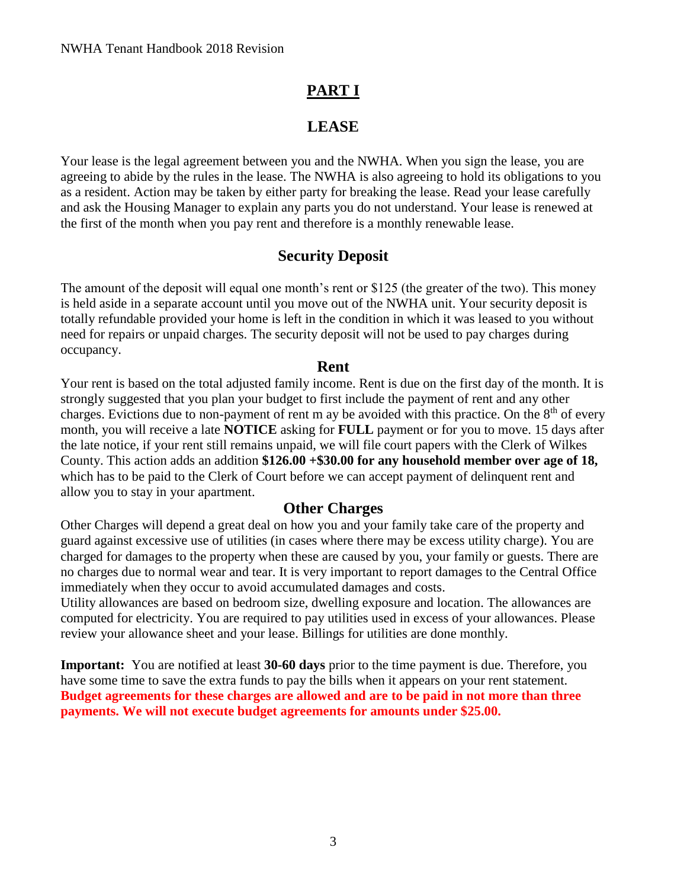## **PART I**

#### **LEASE**

Your lease is the legal agreement between you and the NWHA. When you sign the lease, you are agreeing to abide by the rules in the lease. The NWHA is also agreeing to hold its obligations to you as a resident. Action may be taken by either party for breaking the lease. Read your lease carefully and ask the Housing Manager to explain any parts you do not understand. Your lease is renewed at the first of the month when you pay rent and therefore is a monthly renewable lease.

#### **Security Deposit**

The amount of the deposit will equal one month's rent or \$125 (the greater of the two). This money is held aside in a separate account until you move out of the NWHA unit. Your security deposit is totally refundable provided your home is left in the condition in which it was leased to you without need for repairs or unpaid charges. The security deposit will not be used to pay charges during occupancy.

#### **Rent**

Your rent is based on the total adjusted family income. Rent is due on the first day of the month. It is strongly suggested that you plan your budget to first include the payment of rent and any other charges. Evictions due to non-payment of rent m ay be avoided with this practice. On the  $8<sup>th</sup>$  of every month, you will receive a late **NOTICE** asking for **FULL** payment or for you to move. 15 days after the late notice, if your rent still remains unpaid, we will file court papers with the Clerk of Wilkes County. This action adds an addition **\$126.00 +\$30.00 for any household member over age of 18,**  which has to be paid to the Clerk of Court before we can accept payment of delinquent rent and allow you to stay in your apartment.

#### **Other Charges**

Other Charges will depend a great deal on how you and your family take care of the property and guard against excessive use of utilities (in cases where there may be excess utility charge). You are charged for damages to the property when these are caused by you, your family or guests. There are no charges due to normal wear and tear. It is very important to report damages to the Central Office immediately when they occur to avoid accumulated damages and costs.

Utility allowances are based on bedroom size, dwelling exposure and location. The allowances are computed for electricity. You are required to pay utilities used in excess of your allowances. Please review your allowance sheet and your lease. Billings for utilities are done monthly.

**Important:** You are notified at least **30-60 days** prior to the time payment is due. Therefore, you have some time to save the extra funds to pay the bills when it appears on your rent statement. **Budget agreements for these charges are allowed and are to be paid in not more than three payments. We will not execute budget agreements for amounts under \$25.00.**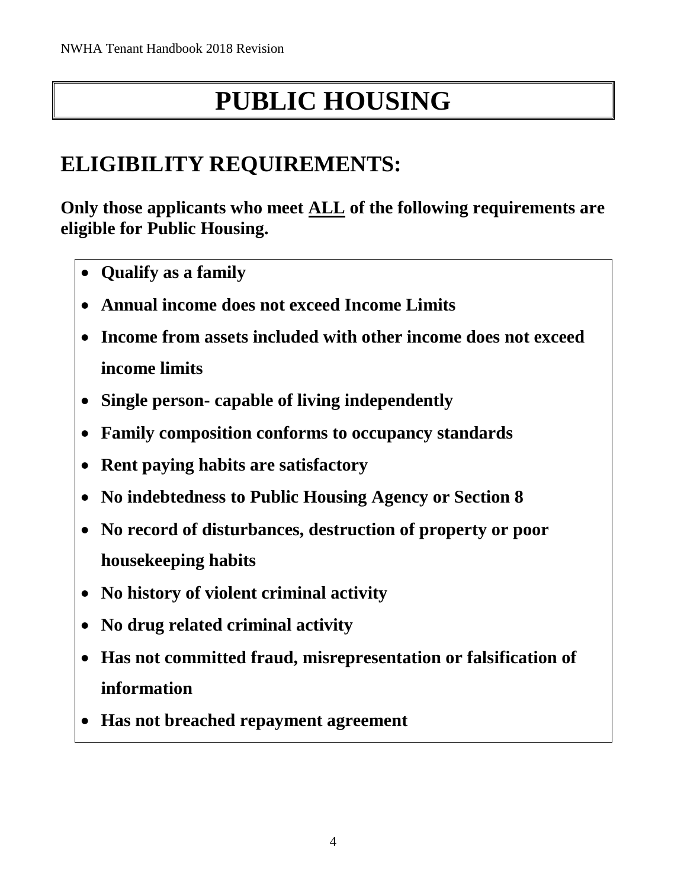# **PUBLIC HOUSING**

# **ELIGIBILITY REQUIREMENTS:**

**Only those applicants who meet ALL of the following requirements are eligible for Public Housing.** 

- **Qualify as a family**
- **Annual income does not exceed Income Limits**
- **Income from assets included with other income does not exceed income limits**
- **Single person- capable of living independently**
- **Family composition conforms to occupancy standards**
- **Rent paying habits are satisfactory**
- **No indebtedness to Public Housing Agency or Section 8**
- **No record of disturbances, destruction of property or poor housekeeping habits**
- **No history of violent criminal activity**
- **No drug related criminal activity**
- **Has not committed fraud, misrepresentation or falsification of information**
- **Has not breached repayment agreement**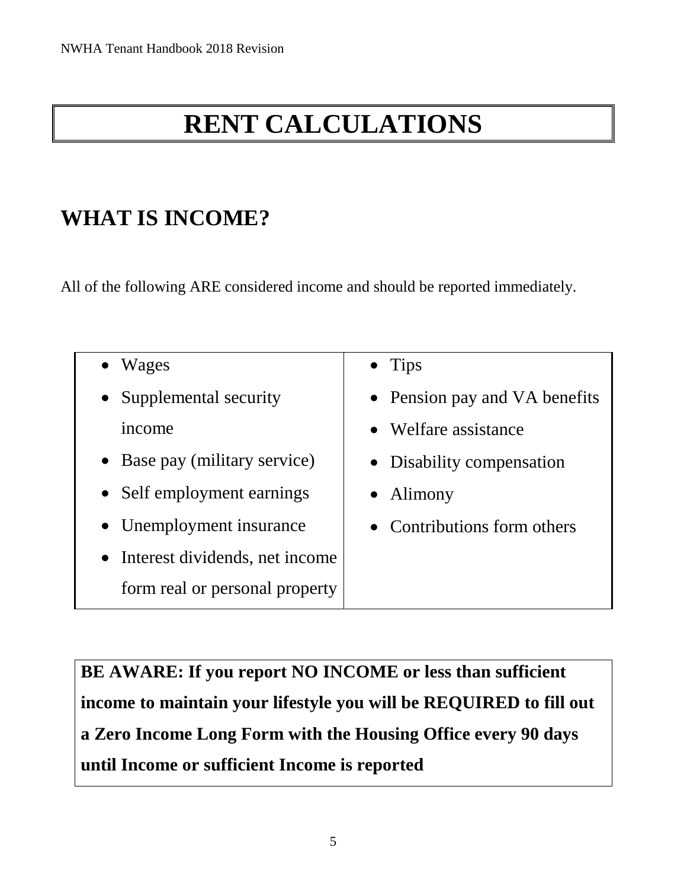# **RENT CALCULATIONS**

# **WHAT IS INCOME?**

All of the following ARE considered income and should be reported immediately.

| Wages                            | $\bullet$ Tips                |
|----------------------------------|-------------------------------|
| Supplemental security            | • Pension pay and VA benefits |
| income                           | • Welfare assistance          |
| • Base pay (military service)    | • Disability compensation     |
| • Self employment earnings       | $\bullet$ Alimony             |
| • Unemployment insurance         | • Contributions form others   |
| • Interest dividends, net income |                               |
| form real or personal property   |                               |

**BE AWARE: If you report NO INCOME or less than sufficient income to maintain your lifestyle you will be REQUIRED to fill out a Zero Income Long Form with the Housing Office every 90 days until Income or sufficient Income is reported**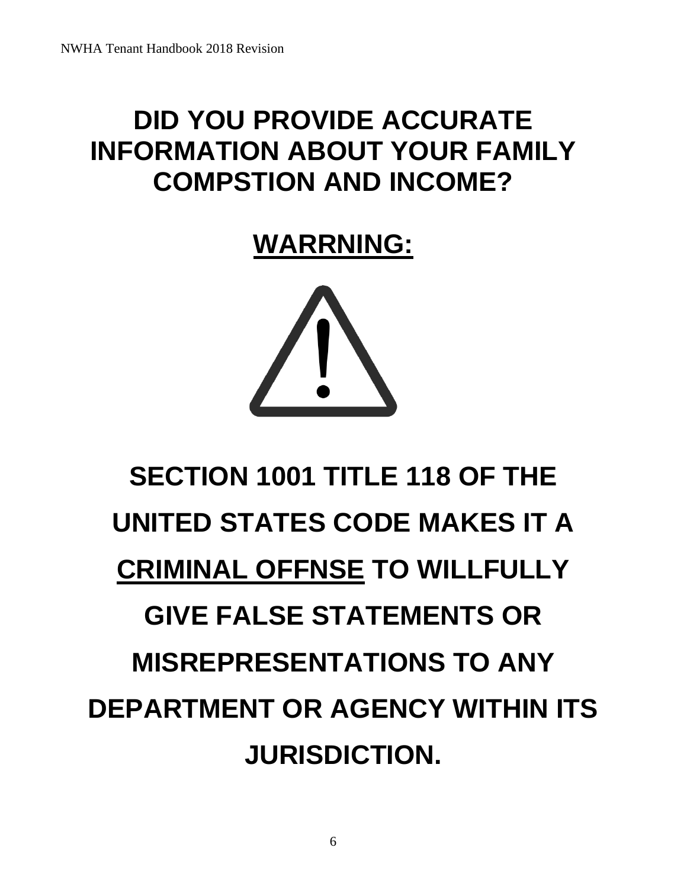# **DID YOU PROVIDE ACCURATE INFORMATION ABOUT YOUR FAMILY COMPSTION AND INCOME?**

**WARRNING:**



# **SECTION 1001 TITLE 118 OF THE UNITED STATES CODE MAKES IT A CRIMINAL OFFNSE TO WILLFULLY GIVE FALSE STATEMENTS OR MISREPRESENTATIONS TO ANY DEPARTMENT OR AGENCY WITHIN ITS JURISDICTION.**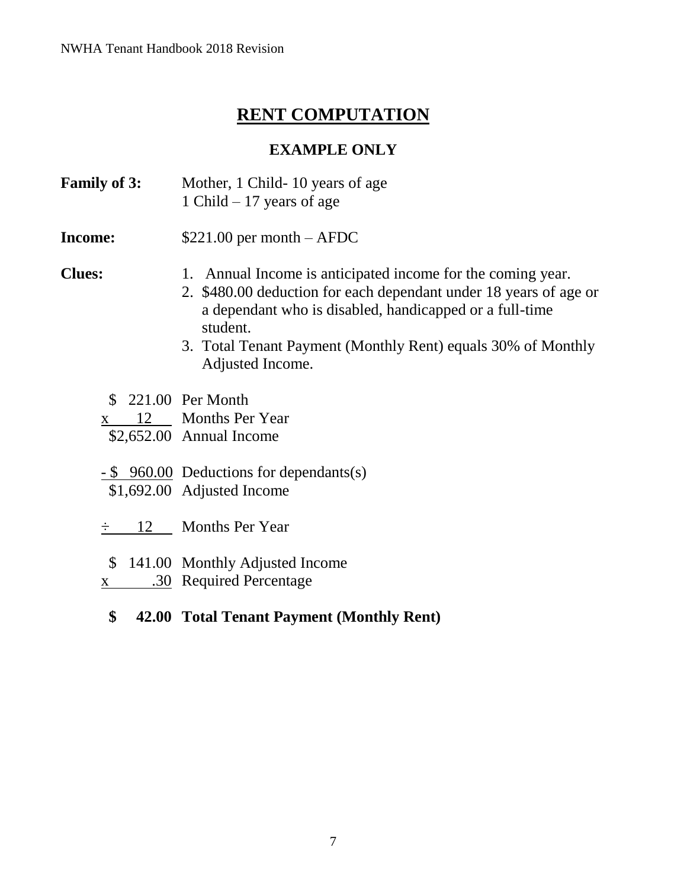# **RENT COMPUTATION**

## **EXAMPLE ONLY**

- **Family of 3:** Mother, 1 Child- 10 years of age 1 Child – 17 years of age
- **Income:**  $$221.00$  per month AFDC

- **Clues:** 1. Annual Income is anticipated income for the coming year.
	- 2. \$480.00 deduction for each dependant under 18 years of age or a dependant who is disabled, handicapped or a full-time student.
	- 3. Total Tenant Payment (Monthly Rent) equals 30% of Monthly Adjusted Income.
	- \$ 221.00 Per Month
	- x 12 Months Per Year
	- \$2,652.00 Annual Income
	- \$ 960.00 Deductions for dependants(s)
	- \$1,692.00 Adjusted Income
	- ÷ 12 Months Per Year
	- \$ 141.00 Monthly Adjusted Income
	- x .30 Required Percentage
		- **\$ 42.00 Total Tenant Payment (Monthly Rent)**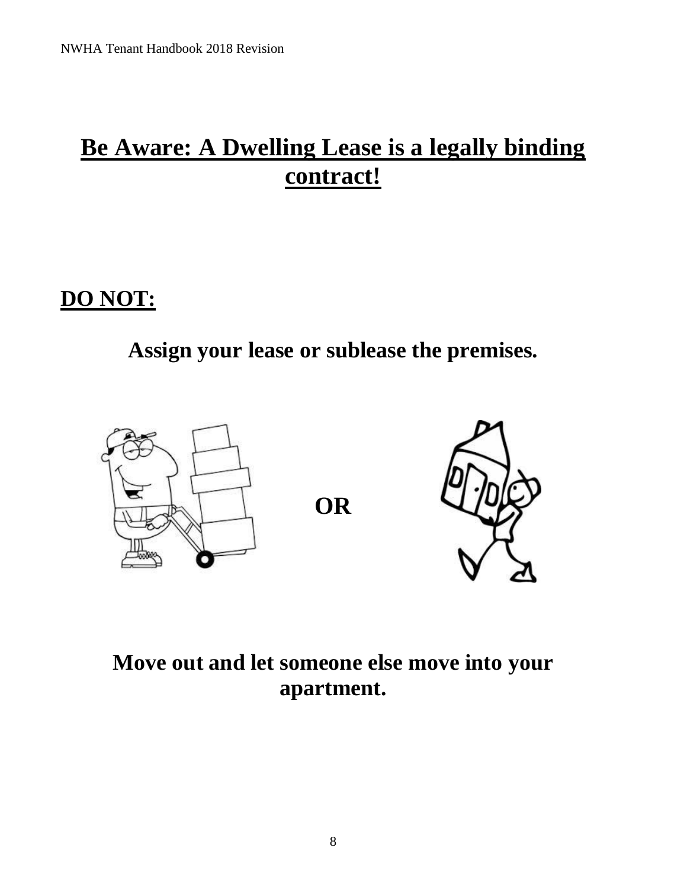# **Be Aware: A Dwelling Lease is a legally binding contract!**

# **DO NOT:**

# **Assign your lease or sublease the premises.**



# **Move out and let someone else move into your apartment.**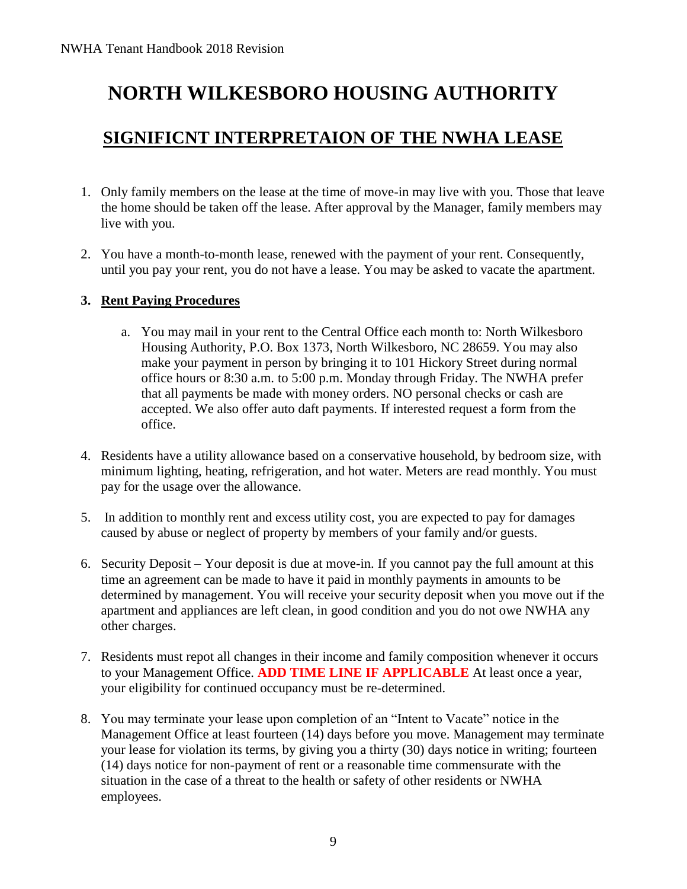# **NORTH WILKESBORO HOUSING AUTHORITY**

## **SIGNIFICNT INTERPRETAION OF THE NWHA LEASE**

- 1. Only family members on the lease at the time of move-in may live with you. Those that leave the home should be taken off the lease. After approval by the Manager, family members may live with you.
- 2. You have a month-to-month lease, renewed with the payment of your rent. Consequently, until you pay your rent, you do not have a lease. You may be asked to vacate the apartment.

#### **3. Rent Paying Procedures**

- a. You may mail in your rent to the Central Office each month to: North Wilkesboro Housing Authority, P.O. Box 1373, North Wilkesboro, NC 28659. You may also make your payment in person by bringing it to 101 Hickory Street during normal office hours or 8:30 a.m. to 5:00 p.m. Monday through Friday. The NWHA prefer that all payments be made with money orders. NO personal checks or cash are accepted. We also offer auto daft payments. If interested request a form from the office.
- 4. Residents have a utility allowance based on a conservative household, by bedroom size, with minimum lighting, heating, refrigeration, and hot water. Meters are read monthly. You must pay for the usage over the allowance.
- 5. In addition to monthly rent and excess utility cost, you are expected to pay for damages caused by abuse or neglect of property by members of your family and/or guests.
- 6. Security Deposit Your deposit is due at move-in. If you cannot pay the full amount at this time an agreement can be made to have it paid in monthly payments in amounts to be determined by management. You will receive your security deposit when you move out if the apartment and appliances are left clean, in good condition and you do not owe NWHA any other charges.
- 7. Residents must repot all changes in their income and family composition whenever it occurs to your Management Office. **ADD TIME LINE IF APPLICABLE** At least once a year, your eligibility for continued occupancy must be re-determined.
- 8. You may terminate your lease upon completion of an "Intent to Vacate" notice in the Management Office at least fourteen (14) days before you move. Management may terminate your lease for violation its terms, by giving you a thirty (30) days notice in writing; fourteen (14) days notice for non-payment of rent or a reasonable time commensurate with the situation in the case of a threat to the health or safety of other residents or NWHA employees.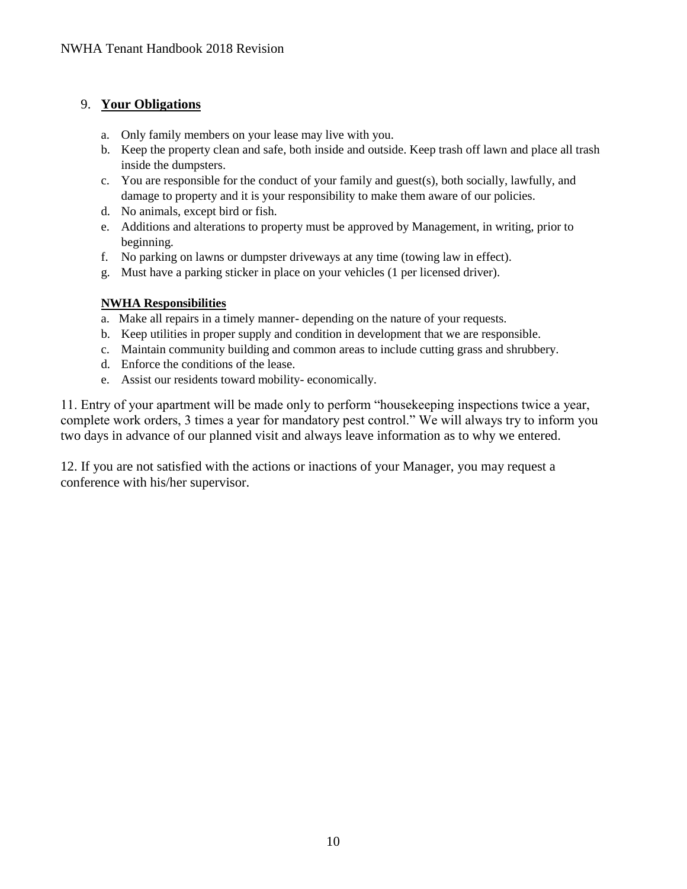#### 9. **Your Obligations**

- a. Only family members on your lease may live with you.
- b. Keep the property clean and safe, both inside and outside. Keep trash off lawn and place all trash inside the dumpsters.
- c. You are responsible for the conduct of your family and guest(s), both socially, lawfully, and damage to property and it is your responsibility to make them aware of our policies.
- d. No animals, except bird or fish.
- e. Additions and alterations to property must be approved by Management, in writing, prior to beginning.
- f. No parking on lawns or dumpster driveways at any time (towing law in effect).
- g. Must have a parking sticker in place on your vehicles (1 per licensed driver).

#### **NWHA Responsibilities**

- a. Make all repairs in a timely manner- depending on the nature of your requests.
- b. Keep utilities in proper supply and condition in development that we are responsible.
- c. Maintain community building and common areas to include cutting grass and shrubbery.
- d. Enforce the conditions of the lease.
- e. Assist our residents toward mobility- economically.

11. Entry of your apartment will be made only to perform "housekeeping inspections twice a year, complete work orders, 3 times a year for mandatory pest control." We will always try to inform you two days in advance of our planned visit and always leave information as to why we entered.

12. If you are not satisfied with the actions or inactions of your Manager, you may request a conference with his/her supervisor.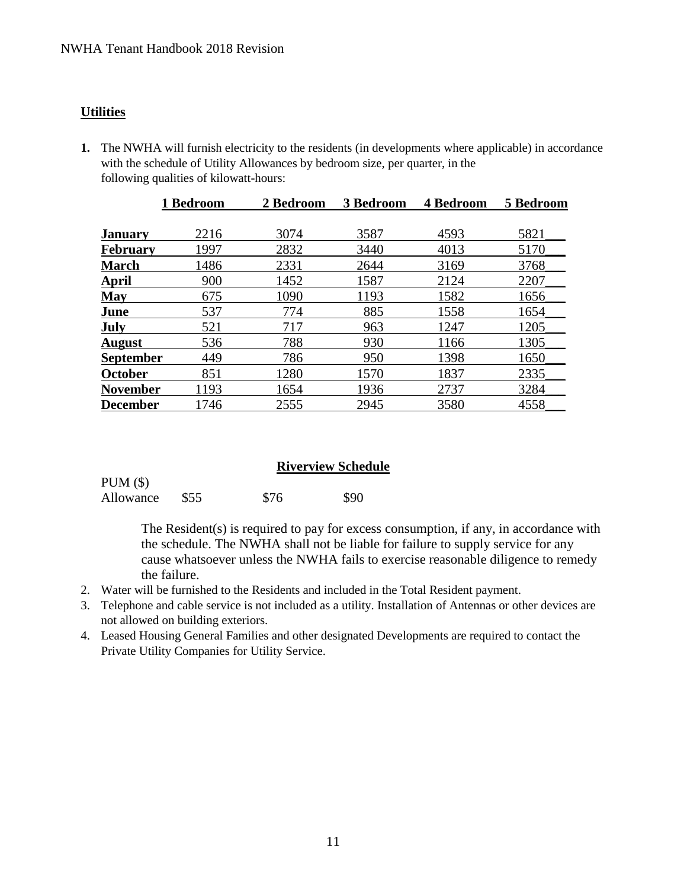#### **Utilities**

**1.** The NWHA will furnish electricity to the residents (in developments where applicable) in accordance with the schedule of Utility Allowances by bedroom size, per quarter, in the following qualities of kilowatt-hours:

|                  | 1 Bedroom | 2 Bedroom | 3 Bedroom | 4 Bedroom | 5 Bedroom |
|------------------|-----------|-----------|-----------|-----------|-----------|
|                  |           |           |           |           |           |
| January          | 2216      | 3074      | 3587      | 4593      | 5821      |
| <b>February</b>  | 1997      | 2832      | 3440      | 4013      | 5170      |
| <b>March</b>     | 1486      | 2331      | 2644      | 3169      | 3768      |
| <u>April</u>     | 900       | 1452      | 1587      | 2124      | 2207      |
| <b>May</b>       | 675       | 1090      | 1193      | 1582      | 1656      |
| June             | 537       | 774       | 885       | 1558      | 1654      |
| <b>July</b>      | 521       | 717       | 963       | 1247      | 1205      |
| <u>August</u>    | 536       | 788       | 930       | 1166      | 1305      |
| <b>September</b> | 449       | 786       | 950       | 1398      | 1650      |
| <b>October</b>   | 851       | 1280      | 1570      | 1837      | 2335      |
| <b>November</b>  | 1193      | 1654      | 1936      | 2737      | 3284      |
| <b>December</b>  | 1746      | 2555      | 2945      | 3580      | 4558      |

#### **Riverview Schedule**

| PUM(\$)   |      |      |      |
|-----------|------|------|------|
| Allowance | \$55 | \$76 | \$90 |

The Resident(s) is required to pay for excess consumption, if any, in accordance with the schedule. The NWHA shall not be liable for failure to supply service for any cause whatsoever unless the NWHA fails to exercise reasonable diligence to remedy the failure.

- 2. Water will be furnished to the Residents and included in the Total Resident payment.
- 3. Telephone and cable service is not included as a utility. Installation of Antennas or other devices are not allowed on building exteriors.
- 4. Leased Housing General Families and other designated Developments are required to contact the Private Utility Companies for Utility Service.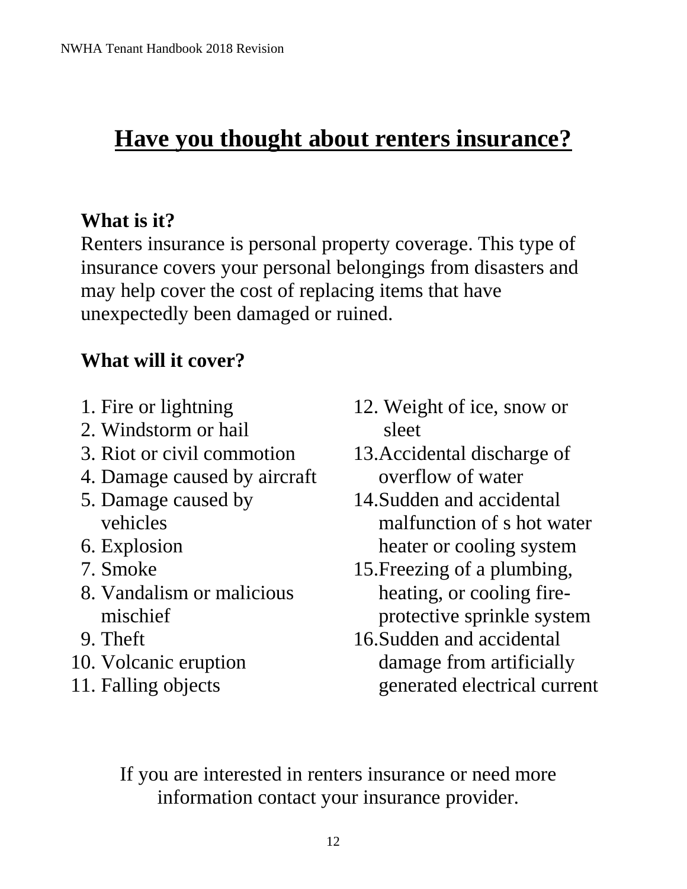# **Have you thought about renters insurance?**

# **What is it?**

Renters insurance is personal property coverage. This type of insurance covers your personal belongings from disasters and may help cover the cost of replacing items that have unexpectedly been damaged or ruined.

# **What will it cover?**

- 1. Fire or lightning
- 2. Windstorm or hail
- 3. Riot or civil commotion
- 4. Damage caused by aircraft
- 5. Damage caused by vehicles
- 6. Explosion
- 7. Smoke
- 8. Vandalism or malicious mischief
- 9. Theft
- 10. Volcanic eruption
- 11. Falling objects
- 12. Weight of ice, snow or sleet
- 13.Accidental discharge of overflow of water
- 14.Sudden and accidental malfunction of s hot water heater or cooling system
- 15.Freezing of a plumbing, heating, or cooling fireprotective sprinkle system
- 16.Sudden and accidental damage from artificially generated electrical current

If you are interested in renters insurance or need more information contact your insurance provider.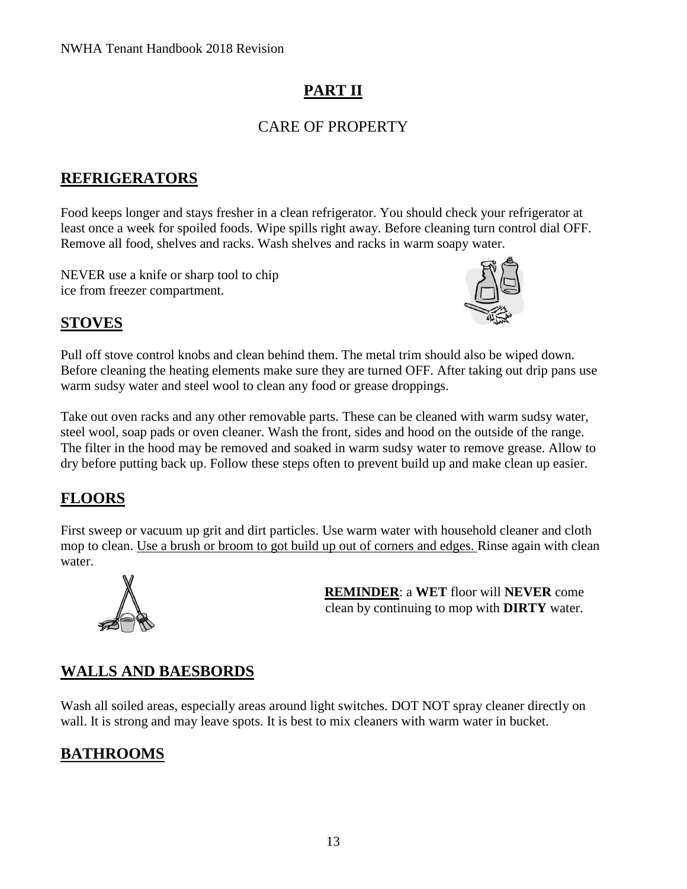# **PART II**

## CARE OF PROPERTY

## **REFRIGERATORS**

Food keeps longer and stays fresher in a clean refrigerator. You should check your refrigerator at least once a week for spoiled foods. Wipe spills right away. Before cleaning turn control dial OFF. Remove all food, shelves and racks. Wash shelves and racks in warm soapy water.

NEVER use a knife or sharp tool to chip ice from freezer compartment.



## **STOVES**

Pull off stove control knobs and clean behind them. The metal trim should also be wiped down. Before cleaning the heating elements make sure they are turned OFF. After taking out drip pans use warm sudsy water and steel wool to clean any food or grease droppings.

Take out oven racks and any other removable parts. These can be cleaned with warm sudsy water, steel wool, soap pads or oven cleaner. Wash the front, sides and hood on the outside of the range. The filter in the hood may be removed and soaked in warm sudsy water to remove grease. Allow to dry before putting back up. Follow these steps often to prevent build up and make clean up easier.

## **FLOORS**

First sweep or vacuum up grit and dirt particles. Use warm water with household cleaner and cloth mop to clean. Use a brush or broom to got build up out of corners and edges. Rinse again with clean water.



**REMINDER**: a **WET** floor will **NEVER** come clean by continuing to mop with **DIRTY** water.

## **WALLS AND BAESBORDS**

Wash all soiled areas, especially areas around light switches. DOT NOT spray cleaner directly on wall. It is strong and may leave spots. It is best to mix cleaners with warm water in bucket.

## **BATHROOMS**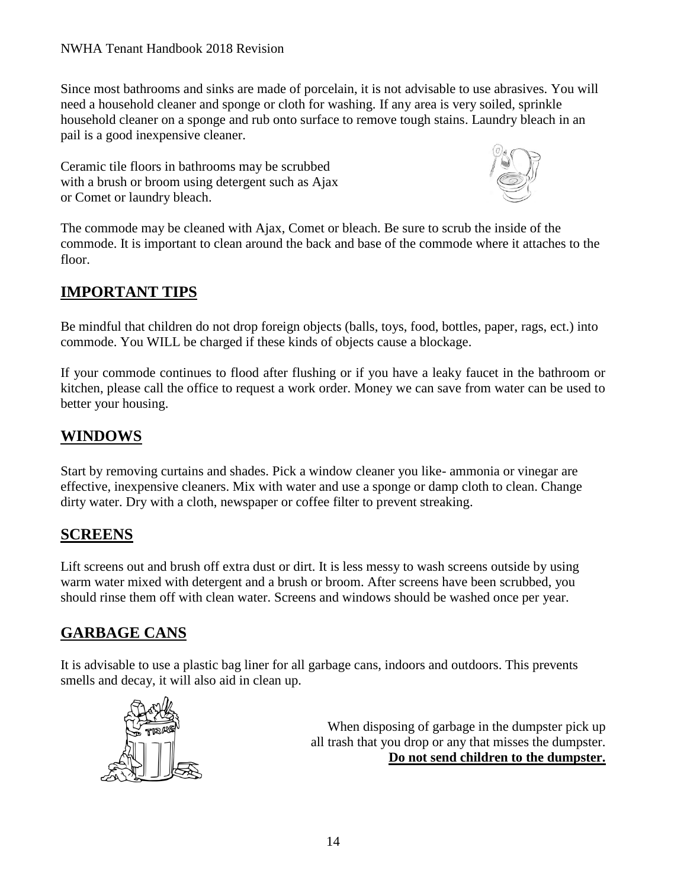Since most bathrooms and sinks are made of porcelain, it is not advisable to use abrasives. You will need a household cleaner and sponge or cloth for washing. If any area is very soiled, sprinkle household cleaner on a sponge and rub onto surface to remove tough stains. Laundry bleach in an pail is a good inexpensive cleaner.

Ceramic tile floors in bathrooms may be scrubbed with a brush or broom using detergent such as Ajax or Comet or laundry bleach.



The commode may be cleaned with Ajax, Comet or bleach. Be sure to scrub the inside of the commode. It is important to clean around the back and base of the commode where it attaches to the floor.

## **IMPORTANT TIPS**

Be mindful that children do not drop foreign objects (balls, toys, food, bottles, paper, rags, ect.) into commode. You WILL be charged if these kinds of objects cause a blockage.

If your commode continues to flood after flushing or if you have a leaky faucet in the bathroom or kitchen, please call the office to request a work order. Money we can save from water can be used to better your housing.

### **WINDOWS**

Start by removing curtains and shades. Pick a window cleaner you like- ammonia or vinegar are effective, inexpensive cleaners. Mix with water and use a sponge or damp cloth to clean. Change dirty water. Dry with a cloth, newspaper or coffee filter to prevent streaking.

#### **SCREENS**

Lift screens out and brush off extra dust or dirt. It is less messy to wash screens outside by using warm water mixed with detergent and a brush or broom. After screens have been scrubbed, you should rinse them off with clean water. Screens and windows should be washed once per year.

### **GARBAGE CANS**

It is advisable to use a plastic bag liner for all garbage cans, indoors and outdoors. This prevents smells and decay, it will also aid in clean up.



When disposing of garbage in the dumpster pick up all trash that you drop or any that misses the dumpster. **Do not send children to the dumpster.**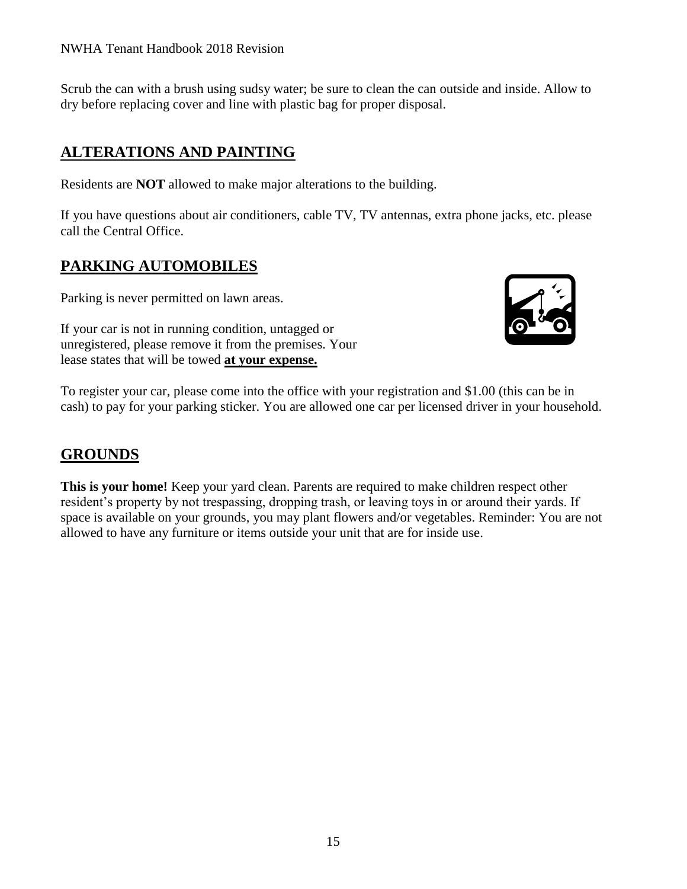#### NWHA Tenant Handbook 2018 Revision

Scrub the can with a brush using sudsy water; be sure to clean the can outside and inside. Allow to dry before replacing cover and line with plastic bag for proper disposal.

#### **ALTERATIONS AND PAINTING**

Residents are **NOT** allowed to make major alterations to the building.

If you have questions about air conditioners, cable TV, TV antennas, extra phone jacks, etc. please call the Central Office.

#### **PARKING AUTOMOBILES**

Parking is never permitted on lawn areas.

If your car is not in running condition, untagged or unregistered, please remove it from the premises. Your lease states that will be towed **at your expense.**



To register your car, please come into the office with your registration and \$1.00 (this can be in cash) to pay for your parking sticker. You are allowed one car per licensed driver in your household.

#### **GROUNDS**

**This is your home!** Keep your yard clean. Parents are required to make children respect other resident's property by not trespassing, dropping trash, or leaving toys in or around their yards. If space is available on your grounds, you may plant flowers and/or vegetables. Reminder: You are not allowed to have any furniture or items outside your unit that are for inside use.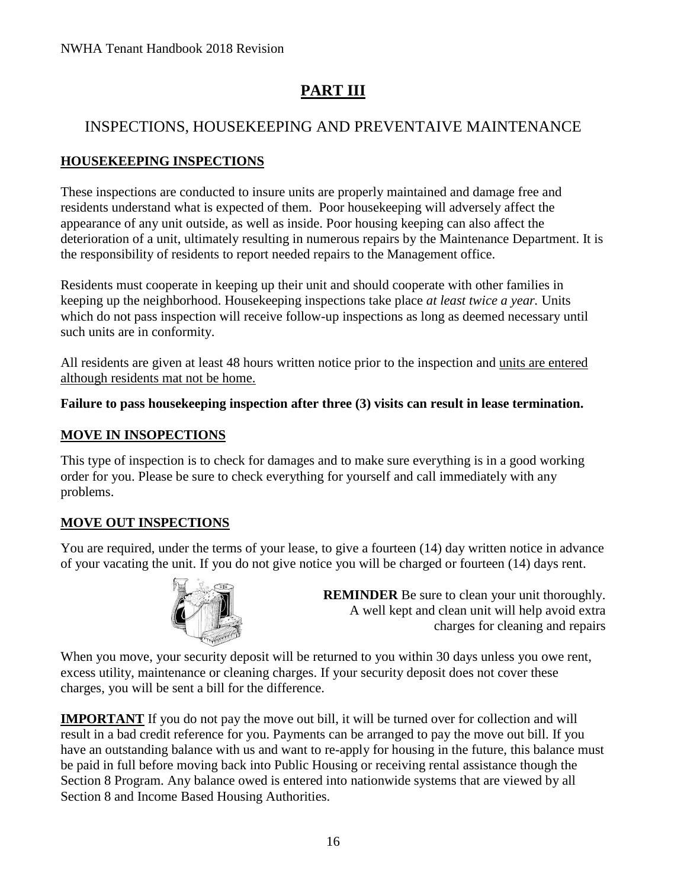# **PART III**

## INSPECTIONS, HOUSEKEEPING AND PREVENTAIVE MAINTENANCE

#### **HOUSEKEEPING INSPECTIONS**

These inspections are conducted to insure units are properly maintained and damage free and residents understand what is expected of them. Poor housekeeping will adversely affect the appearance of any unit outside, as well as inside. Poor housing keeping can also affect the deterioration of a unit, ultimately resulting in numerous repairs by the Maintenance Department. It is the responsibility of residents to report needed repairs to the Management office.

Residents must cooperate in keeping up their unit and should cooperate with other families in keeping up the neighborhood. Housekeeping inspections take place *at least twice a year.* Units which do not pass inspection will receive follow-up inspections as long as deemed necessary until such units are in conformity.

All residents are given at least 48 hours written notice prior to the inspection and units are entered although residents mat not be home.

#### **Failure to pass housekeeping inspection after three (3) visits can result in lease termination.**

#### **MOVE IN INSOPECTIONS**

This type of inspection is to check for damages and to make sure everything is in a good working order for you. Please be sure to check everything for yourself and call immediately with any problems.

#### **MOVE OUT INSPECTIONS**

You are required, under the terms of your lease, to give a fourteen (14) day written notice in advance of your vacating the unit. If you do not give notice you will be charged or fourteen (14) days rent.



**REMINDER** Be sure to clean your unit thoroughly. A well kept and clean unit will help avoid extra charges for cleaning and repairs

When you move, your security deposit will be returned to you within 30 days unless you owe rent, excess utility, maintenance or cleaning charges. If your security deposit does not cover these charges, you will be sent a bill for the difference.

**IMPORTANT** If you do not pay the move out bill, it will be turned over for collection and will result in a bad credit reference for you. Payments can be arranged to pay the move out bill. If you have an outstanding balance with us and want to re-apply for housing in the future, this balance must be paid in full before moving back into Public Housing or receiving rental assistance though the Section 8 Program. Any balance owed is entered into nationwide systems that are viewed by all Section 8 and Income Based Housing Authorities.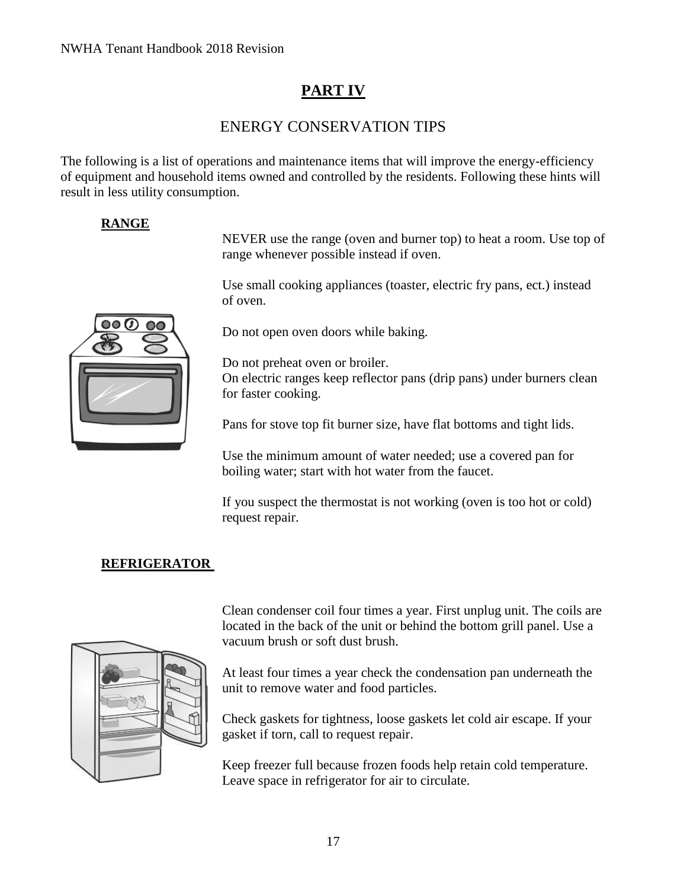## **PART IV**

### ENERGY CONSERVATION TIPS

The following is a list of operations and maintenance items that will improve the energy-efficiency of equipment and household items owned and controlled by the residents. Following these hints will result in less utility consumption.

#### **RANGE**

NEVER use the range (oven and burner top) to heat a room. Use top of range whenever possible instead if oven.

Use small cooking appliances (toaster, electric fry pans, ect.) instead of oven.



Do not open oven doors while baking.

Do not preheat oven or broiler. On electric ranges keep reflector pans (drip pans) under burners clean for faster cooking.

Pans for stove top fit burner size, have flat bottoms and tight lids.

Use the minimum amount of water needed; use a covered pan for boiling water; start with hot water from the faucet.

If you suspect the thermostat is not working (oven is too hot or cold) request repair.

### **REFRIGERATOR**



Clean condenser coil four times a year. First unplug unit. The coils are located in the back of the unit or behind the bottom grill panel. Use a vacuum brush or soft dust brush.

At least four times a year check the condensation pan underneath the unit to remove water and food particles.

Check gaskets for tightness, loose gaskets let cold air escape. If your gasket if torn, call to request repair.

Keep freezer full because frozen foods help retain cold temperature. Leave space in refrigerator for air to circulate.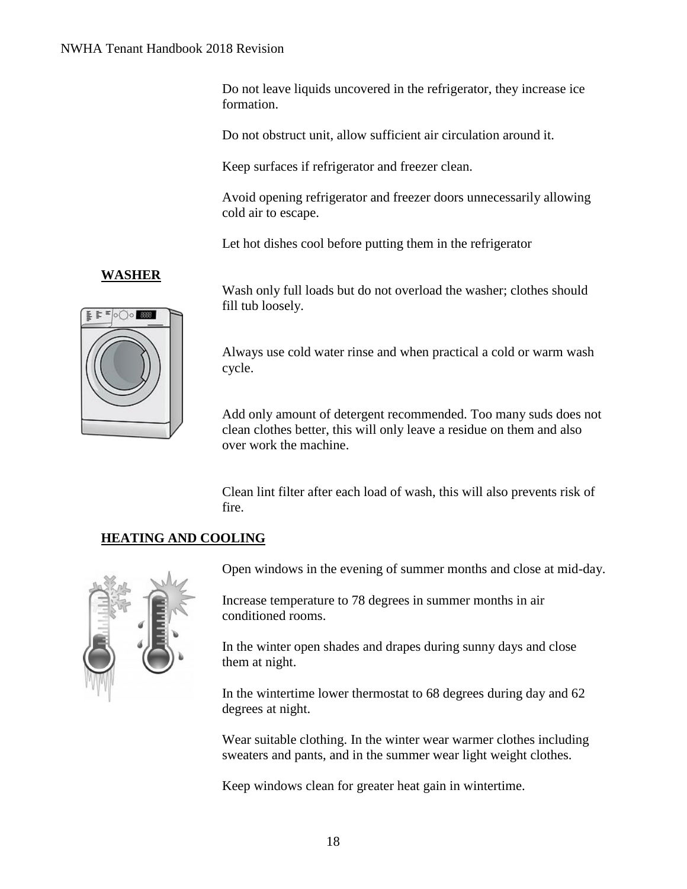Do not leave liquids uncovered in the refrigerator, they increase ice formation.

Do not obstruct unit, allow sufficient air circulation around it.

Keep surfaces if refrigerator and freezer clean.

Avoid opening refrigerator and freezer doors unnecessarily allowing cold air to escape.

Let hot dishes cool before putting them in the refrigerator

#### **WASHER**



Wash only full loads but do not overload the washer; clothes should fill tub loosely.

Always use cold water rinse and when practical a cold or warm wash cycle.

Add only amount of detergent recommended. Too many suds does not clean clothes better, this will only leave a residue on them and also over work the machine.

Clean lint filter after each load of wash, this will also prevents risk of fire.

#### **HEATING AND COOLING**



Open windows in the evening of summer months and close at mid-day.

Increase temperature to 78 degrees in summer months in air conditioned rooms.

In the winter open shades and drapes during sunny days and close them at night.

In the wintertime lower thermostat to 68 degrees during day and 62 degrees at night.

Wear suitable clothing. In the winter wear warmer clothes including sweaters and pants, and in the summer wear light weight clothes.

Keep windows clean for greater heat gain in wintertime.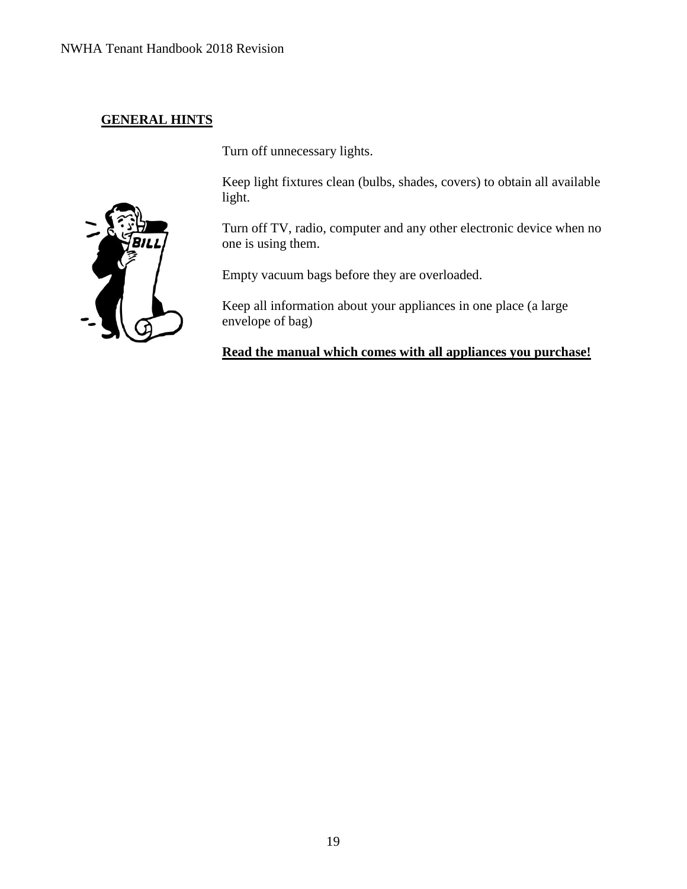#### **GENERAL HINTS**

Turn off unnecessary lights.

Keep light fixtures clean (bulbs, shades, covers) to obtain all available light.

Turn off TV, radio, computer and any other electronic device when no one is using them.

Empty vacuum bags before they are overloaded.

Keep all information about your appliances in one place (a large envelope of bag)

**Read the manual which comes with all appliances you purchase!**

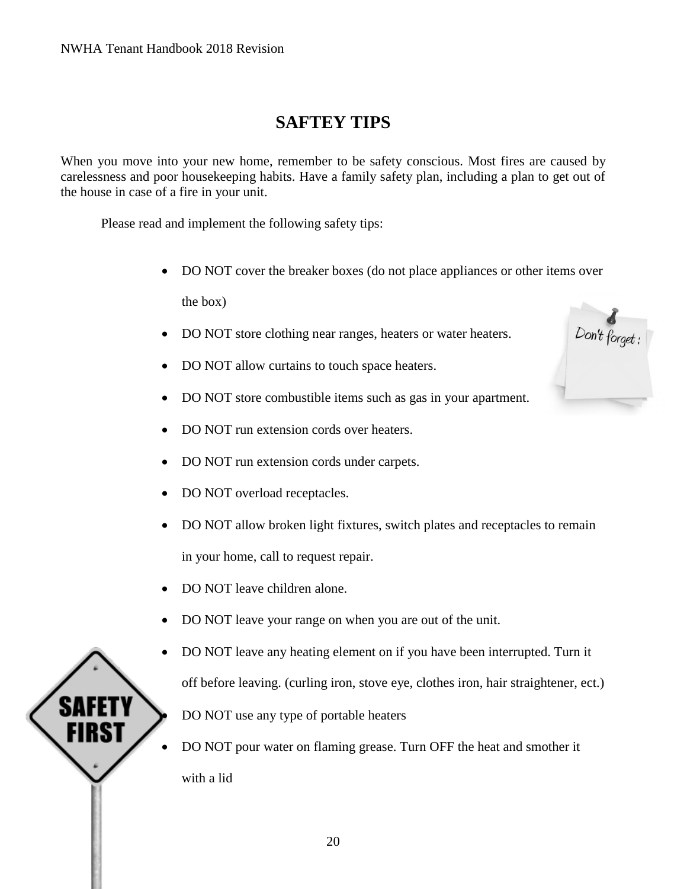# **SAFTEY TIPS**

When you move into your new home, remember to be safety conscious. Most fires are caused by carelessness and poor housekeeping habits. Have a family safety plan, including a plan to get out of the house in case of a fire in your unit.

Please read and implement the following safety tips:

• DO NOT cover the breaker boxes (do not place appliances or other items over

the box)

- DO NOT store clothing near ranges, heaters or water heaters.
- DO NOT allow curtains to touch space heaters.
- DO NOT store combustible items such as gas in your apartment.
- DO NOT run extension cords over heaters.
- DO NOT run extension cords under carpets.
- DO NOT overload receptacles.
- DO NOT allow broken light fixtures, switch plates and receptacles to remain in your home, call to request repair.
- DO NOT leave children alone.
- DO NOT leave your range on when you are out of the unit.
- DO NOT leave any heating element on if you have been interrupted. Turn it off before leaving. (curling iron, stove eye, clothes iron, hair straightener, ect.) • DO NOT use any type of portable heaters
- DO NOT pour water on flaming grease. Turn OFF the heat and smother it with a lid

Don't forget :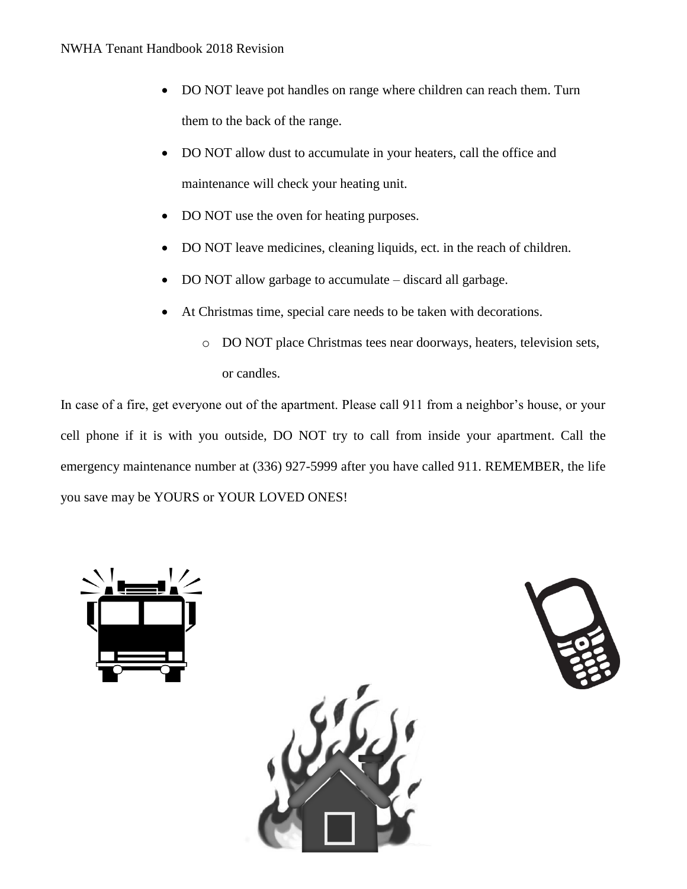- DO NOT leave pot handles on range where children can reach them. Turn them to the back of the range.
- DO NOT allow dust to accumulate in your heaters, call the office and maintenance will check your heating unit.
- DO NOT use the oven for heating purposes.
- DO NOT leave medicines, cleaning liquids, ect. in the reach of children.
- DO NOT allow garbage to accumulate discard all garbage.
- At Christmas time, special care needs to be taken with decorations.
	- o DO NOT place Christmas tees near doorways, heaters, television sets, or candles.

In case of a fire, get everyone out of the apartment. Please call 911 from a neighbor's house, or your cell phone if it is with you outside, DO NOT try to call from inside your apartment. Call the emergency maintenance number at (336) 927-5999 after you have called 911. REMEMBER, the life you save may be YOURS or YOUR LOVED ONES!



21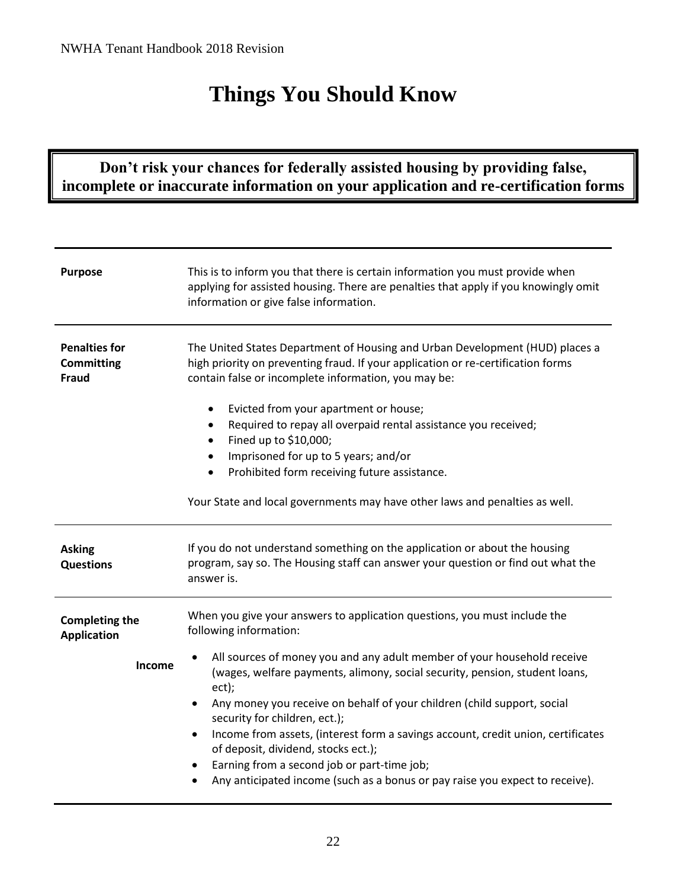# **Things You Should Know**

## **Don't risk your chances for federally assisted housing by providing false, incomplete or inaccurate information on your application and re-certification forms**

| <b>Purpose</b>                                            | This is to inform you that there is certain information you must provide when<br>applying for assisted housing. There are penalties that apply if you knowingly omit<br>information or give false information.                                                                                                                                                                                                                                                                                                                        |
|-----------------------------------------------------------|---------------------------------------------------------------------------------------------------------------------------------------------------------------------------------------------------------------------------------------------------------------------------------------------------------------------------------------------------------------------------------------------------------------------------------------------------------------------------------------------------------------------------------------|
| <b>Penalties for</b><br><b>Committing</b><br><b>Fraud</b> | The United States Department of Housing and Urban Development (HUD) places a<br>high priority on preventing fraud. If your application or re-certification forms<br>contain false or incomplete information, you may be:<br>Evicted from your apartment or house;<br>$\bullet$                                                                                                                                                                                                                                                        |
|                                                           | Required to repay all overpaid rental assistance you received;<br>$\bullet$                                                                                                                                                                                                                                                                                                                                                                                                                                                           |
|                                                           | Fined up to \$10,000;<br>Imprisoned for up to 5 years; and/or<br>$\bullet$                                                                                                                                                                                                                                                                                                                                                                                                                                                            |
|                                                           | Prohibited form receiving future assistance.                                                                                                                                                                                                                                                                                                                                                                                                                                                                                          |
|                                                           |                                                                                                                                                                                                                                                                                                                                                                                                                                                                                                                                       |
|                                                           | Your State and local governments may have other laws and penalties as well.                                                                                                                                                                                                                                                                                                                                                                                                                                                           |
| <b>Asking</b><br><b>Questions</b>                         | If you do not understand something on the application or about the housing<br>program, say so. The Housing staff can answer your question or find out what the<br>answer is.                                                                                                                                                                                                                                                                                                                                                          |
| <b>Completing the</b><br><b>Application</b>               | When you give your answers to application questions, you must include the<br>following information:                                                                                                                                                                                                                                                                                                                                                                                                                                   |
| Income                                                    | All sources of money you and any adult member of your household receive<br>(wages, welfare payments, alimony, social security, pension, student loans,<br>ect);<br>Any money you receive on behalf of your children (child support, social<br>security for children, ect.);<br>Income from assets, (interest form a savings account, credit union, certificates<br>of deposit, dividend, stocks ect.);<br>Earning from a second job or part-time job;<br>Any anticipated income (such as a bonus or pay raise you expect to receive). |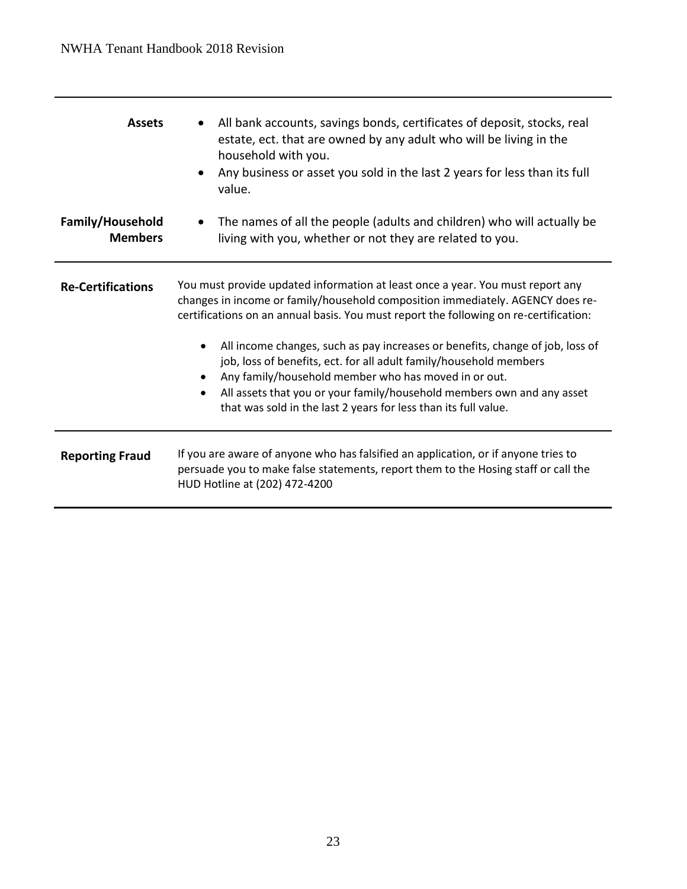| <b>Assets</b>                      | All bank accounts, savings bonds, certificates of deposit, stocks, real<br>estate, ect. that are owned by any adult who will be living in the<br>household with you.<br>Any business or asset you sold in the last 2 years for less than its full<br>٠<br>value.                                                                                                                                                                                                                                                                                                                                                                                |
|------------------------------------|-------------------------------------------------------------------------------------------------------------------------------------------------------------------------------------------------------------------------------------------------------------------------------------------------------------------------------------------------------------------------------------------------------------------------------------------------------------------------------------------------------------------------------------------------------------------------------------------------------------------------------------------------|
| Family/Household<br><b>Members</b> | The names of all the people (adults and children) who will actually be<br>living with you, whether or not they are related to you.                                                                                                                                                                                                                                                                                                                                                                                                                                                                                                              |
| <b>Re-Certifications</b>           | You must provide updated information at least once a year. You must report any<br>changes in income or family/household composition immediately. AGENCY does re-<br>certifications on an annual basis. You must report the following on re-certification:<br>All income changes, such as pay increases or benefits, change of job, loss of<br>job, loss of benefits, ect. for all adult family/household members<br>Any family/household member who has moved in or out.<br>$\bullet$<br>All assets that you or your family/household members own and any asset<br>$\bullet$<br>that was sold in the last 2 years for less than its full value. |
| <b>Reporting Fraud</b>             | If you are aware of anyone who has falsified an application, or if anyone tries to<br>persuade you to make false statements, report them to the Hosing staff or call the<br>HUD Hotline at (202) 472-4200                                                                                                                                                                                                                                                                                                                                                                                                                                       |